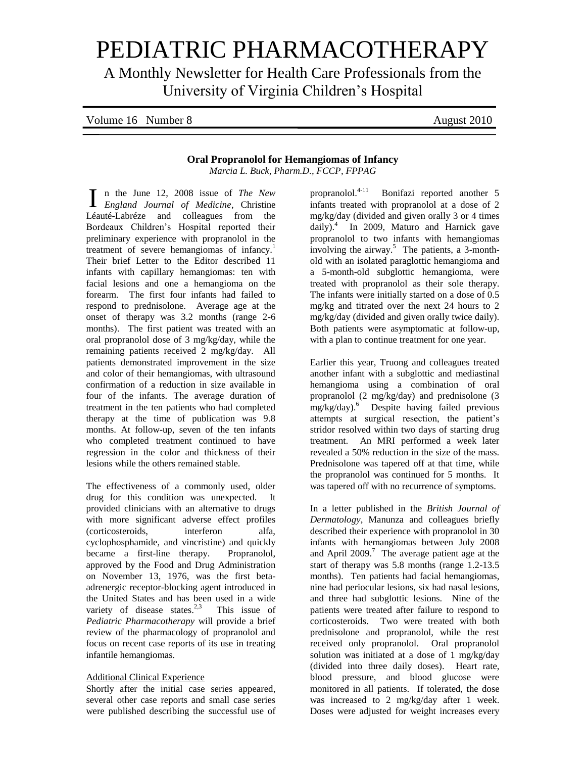# PEDIATRIC PHARMACOTHERAPY

A Monthly Newsletter for Health Care Professionals from the University of Virginia Children's Hospital

| Volume 16 Number 8 | August 2010 |
|--------------------|-------------|
|                    |             |

## **Oral Propranolol for Hemangiomas of Infancy**

*Marcia L. Buck, Pharm.D., FCCP, FPPAG*

n the June 12, 2008 issue of *The New England Journal of Medicine*, Christine ILéauté-Labréze and colleagues from the Bordeaux Children's Hospital reported their preliminary experience with propranolol in the treatment of severe hemangiomas of infancy.<sup>1</sup> Their brief Letter to the Editor described 11 infants with capillary hemangiomas: ten with facial lesions and one a hemangioma on the forearm. The first four infants had failed to respond to prednisolone. Average age at the onset of therapy was 3.2 months (range 2-6 months). The first patient was treated with an oral propranolol dose of 3 mg/kg/day, while the remaining patients received 2 mg/kg/day. All patients demonstrated improvement in the size and color of their hemangiomas, with ultrasound confirmation of a reduction in size available in four of the infants. The average duration of treatment in the ten patients who had completed therapy at the time of publication was 9.8 months. At follow-up, seven of the ten infants who completed treatment continued to have regression in the color and thickness of their lesions while the others remained stable.

The effectiveness of a commonly used, older drug for this condition was unexpected. It provided clinicians with an alternative to drugs with more significant adverse effect profiles (corticosteroids, interferon alfa, cyclophosphamide, and vincristine) and quickly became a first-line therapy. Propranolol, approved by the Food and Drug Administration on November 13, 1976, was the first betaadrenergic receptor-blocking agent introduced in the United States and has been used in a wide variety of disease states.<sup>2,3</sup> This issue of *Pediatric Pharmacotherapy* will provide a brief review of the pharmacology of propranolol and focus on recent case reports of its use in treating infantile hemangiomas.

## Additional Clinical Experience

Shortly after the initial case series appeared, several other case reports and small case series were published describing the successful use of

propranolol.<sup>4-11</sup> Bonifazi reported another 5 infants treated with propranolol at a dose of 2 mg/kg/day (divided and given orally 3 or 4 times daily).<sup>4</sup> In 2009, Maturo and Harnick gave propranolol to two infants with hemangiomas involving the airway.<sup>5</sup> The patients, a 3-monthold with an isolated paraglottic hemangioma and a 5-month-old subglottic hemangioma, were treated with propranolol as their sole therapy. The infants were initially started on a dose of 0.5 mg/kg and titrated over the next 24 hours to 2 mg/kg/day (divided and given orally twice daily). Both patients were asymptomatic at follow-up, with a plan to continue treatment for one year.

Earlier this year, Truong and colleagues treated another infant with a subglottic and mediastinal hemangioma using a combination of oral propranolol (2 mg/kg/day) and prednisolone (3  $mg/kg/day$ ).<sup>6</sup> Despite having failed previous attempts at surgical resection, the patient's stridor resolved within two days of starting drug treatment. An MRI performed a week later revealed a 50% reduction in the size of the mass. Prednisolone was tapered off at that time, while the propranolol was continued for 5 months. It was tapered off with no recurrence of symptoms.

In a letter published in the *British Journal of Dermatology*, Manunza and colleagues briefly described their experience with propranolol in 30 infants with hemangiomas between July 2008 and April 2009.<sup>7</sup> The average patient age at the start of therapy was 5.8 months (range 1.2-13.5 months). Ten patients had facial hemangiomas, nine had periocular lesions, six had nasal lesions, and three had subglottic lesions. Nine of the patients were treated after failure to respond to corticosteroids. Two were treated with both prednisolone and propranolol, while the rest received only propranolol. Oral propranolol solution was initiated at a dose of 1 mg/kg/day (divided into three daily doses). Heart rate, blood pressure, and blood glucose were monitored in all patients. If tolerated, the dose was increased to 2 mg/kg/day after 1 week. Doses were adjusted for weight increases every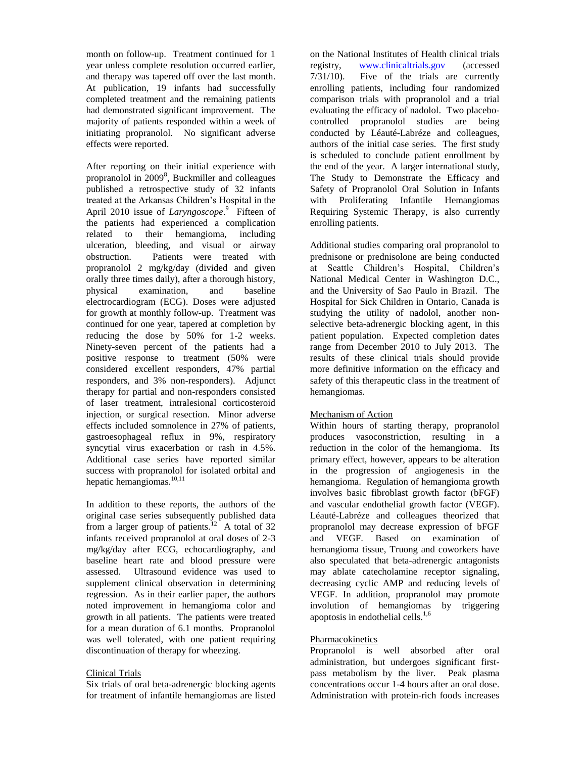month on follow-up. Treatment continued for 1 year unless complete resolution occurred earlier, and therapy was tapered off over the last month. At publication, 19 infants had successfully completed treatment and the remaining patients had demonstrated significant improvement. The majority of patients responded within a week of initiating propranolol. No significant adverse effects were reported.

After reporting on their initial experience with propranolol in 2009<sup>8</sup>, Buckmiller and colleagues published a retrospective study of 32 infants treated at the Arkansas Children's Hospital in the April 2010 issue of *Laryngoscope*.<sup>9</sup> Fifteen of the patients had experienced a complication related to their hemangioma, including ulceration, bleeding, and visual or airway obstruction. Patients were treated with propranolol 2 mg/kg/day (divided and given orally three times daily), after a thorough history, physical examination, and baseline electrocardiogram (ECG). Doses were adjusted for growth at monthly follow-up. Treatment was continued for one year, tapered at completion by reducing the dose by 50% for 1-2 weeks. Ninety-seven percent of the patients had a positive response to treatment (50% were considered excellent responders, 47% partial responders, and 3% non-responders). Adjunct therapy for partial and non-responders consisted of laser treatment, intralesional corticosteroid injection, or surgical resection. Minor adverse effects included somnolence in 27% of patients, gastroesophageal reflux in 9%, respiratory syncytial virus exacerbation or rash in 4.5%. Additional case series have reported similar success with propranolol for isolated orbital and hepatic hemangiomas.<sup>10,11</sup>

In addition to these reports, the authors of the original case series subsequently published data from a larger group of patients.<sup>12</sup> A total of 32 infants received propranolol at oral doses of 2-3 mg/kg/day after ECG, echocardiography, and baseline heart rate and blood pressure were assessed. Ultrasound evidence was used to supplement clinical observation in determining regression. As in their earlier paper, the authors noted improvement in hemangioma color and growth in all patients. The patients were treated for a mean duration of 6.1 months. Propranolol was well tolerated, with one patient requiring discontinuation of therapy for wheezing.

## Clinical Trials

Six trials of oral beta-adrenergic blocking agents for treatment of infantile hemangiomas are listed on the National Institutes of Health clinical trials registry, [www.clinicaltrials.gov](http://www.clinicaltrials.gov/) (accessed 7/31/10). Five of the trials are currently enrolling patients, including four randomized comparison trials with propranolol and a trial evaluating the efficacy of nadolol. Two placebocontrolled propranolol studies are being conducted by Léauté-Labréze and colleagues, authors of the initial case series. The first study is scheduled to conclude patient enrollment by the end of the year. A larger international study, The Study to Demonstrate the Efficacy and Safety of Propranolol Oral Solution in Infants with Proliferating Infantile Hemangiomas Requiring Systemic Therapy, is also currently enrolling patients.

Additional studies comparing oral propranolol to prednisone or prednisolone are being conducted at Seattle Children's Hospital, Children's National Medical Center in Washington D.C., and the University of Sao Paulo in Brazil. The Hospital for Sick Children in Ontario, Canada is studying the utility of nadolol, another nonselective beta-adrenergic blocking agent, in this patient population. Expected completion dates range from December 2010 to July 2013. The results of these clinical trials should provide more definitive information on the efficacy and safety of this therapeutic class in the treatment of hemangiomas.

## Mechanism of Action

Within hours of starting therapy, propranolol produces vasoconstriction, resulting in a reduction in the color of the hemangioma. Its primary effect, however, appears to be alteration in the progression of angiogenesis in the hemangioma. Regulation of hemangioma growth involves basic fibroblast growth factor (bFGF) and vascular endothelial growth factor (VEGF). Léauté-Labréze and colleagues theorized that propranolol may decrease expression of bFGF and VEGF. Based on examination of hemangioma tissue, Truong and coworkers have also speculated that beta-adrenergic antagonists may ablate catecholamine receptor signaling, decreasing cyclic AMP and reducing levels of VEGF. In addition, propranolol may promote involution of hemangiomas by triggering apoptosis in endothelial cells. $1,6$ 

## Pharmacokinetics

Propranolol is well absorbed after oral administration, but undergoes significant firstpass metabolism by the liver. Peak plasma concentrations occur 1-4 hours after an oral dose. Administration with protein-rich foods increases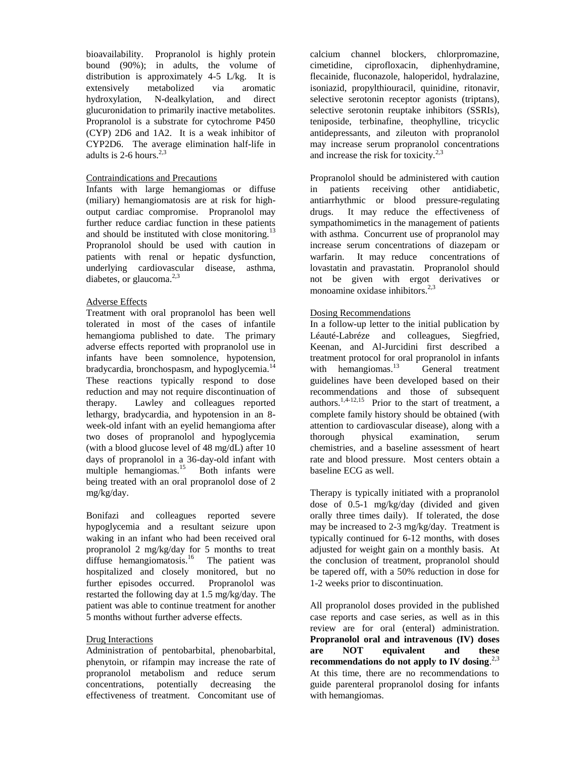bioavailability. Propranolol is highly protein bound (90%); in adults, the volume of distribution is approximately 4-5 L/kg. It is extensively metabolized via aromatic hydroxylation, N-dealkylation, and direct glucuronidation to primarily inactive metabolites. Propranolol is a substrate for cytochrome P450 (CYP) 2D6 and 1A2. It is a weak inhibitor of CYP2D6. The average elimination half-life in adults is 2-6 hours.<sup>2,3</sup>

## Contraindications and Precautions

Infants with large hemangiomas or diffuse (miliary) hemangiomatosis are at risk for highoutput cardiac compromise. Propranolol may further reduce cardiac function in these patients and should be instituted with close monitoring. $^{13}$ Propranolol should be used with caution in patients with renal or hepatic dysfunction, underlying cardiovascular disease, asthma, diabetes, or glaucoma.<sup>2,3</sup>

## Adverse Effects

Treatment with oral propranolol has been well tolerated in most of the cases of infantile hemangioma published to date. The primary adverse effects reported with propranolol use in infants have been somnolence, hypotension, bradycardia, bronchospasm, and hypoglycemia.<sup>14</sup> These reactions typically respond to dose reduction and may not require discontinuation of therapy. Lawley and colleagues reported lethargy, bradycardia, and hypotension in an 8 week-old infant with an eyelid hemangioma after two doses of propranolol and hypoglycemia (with a blood glucose level of 48 mg/dL) after 10 days of propranolol in a 36-day-old infant with multiple hemangiomas.<sup>15</sup> Both infants were being treated with an oral propranolol dose of 2 mg/kg/day.

Bonifazi and colleagues reported severe hypoglycemia and a resultant seizure upon waking in an infant who had been received oral propranolol 2 mg/kg/day for 5 months to treat diffuse hemangiomatosis.<sup>16</sup> The patient was hospitalized and closely monitored, but no further episodes occurred. Propranolol was restarted the following day at 1.5 mg/kg/day. The patient was able to continue treatment for another 5 months without further adverse effects.

## Drug Interactions

Administration of pentobarbital, phenobarbital, phenytoin, or rifampin may increase the rate of propranolol metabolism and reduce serum concentrations, potentially decreasing the effectiveness of treatment. Concomitant use of

calcium channel blockers, chlorpromazine, cimetidine, ciprofloxacin, diphenhydramine, flecainide, fluconazole, haloperidol, hydralazine, isoniazid, propylthiouracil, quinidine, ritonavir, selective serotonin receptor agonists (triptans), selective serotonin reuptake inhibitors (SSRIs), teniposide, terbinafine, theophylline, tricyclic antidepressants, and zileuton with propranolol may increase serum propranolol concentrations and increase the risk for toxicity.<sup>2,3</sup>

Propranolol should be administered with caution in patients receiving other antidiabetic, antiarrhythmic or blood pressure-regulating drugs. It may reduce the effectiveness of sympathomimetics in the management of patients with asthma. Concurrent use of propranolol may increase serum concentrations of diazepam or warfarin. It may reduce concentrations of lovastatin and pravastatin. Propranolol should not be given with ergot derivatives or monoamine oxidase inhibitors.<sup>2,3</sup>

## Dosing Recommendations

In a follow-up letter to the initial publication by Léauté-Labréze and colleagues, Siegfried, Keenan, and Al-Jurcidini first described a treatment protocol for oral propranolol in infants with hemangiomas. $^{13}$  General treatment guidelines have been developed based on their recommendations and those of subsequent authors.<sup>1,4-12,15</sup> Prior to the start of treatment, a complete family history should be obtained (with attention to cardiovascular disease), along with a thorough physical examination, serum chemistries, and a baseline assessment of heart rate and blood pressure. Most centers obtain a baseline ECG as well.

Therapy is typically initiated with a propranolol dose of 0.5-1 mg/kg/day (divided and given orally three times daily). If tolerated, the dose may be increased to 2-3 mg/kg/day. Treatment is typically continued for 6-12 months, with doses adjusted for weight gain on a monthly basis. At the conclusion of treatment, propranolol should be tapered off, with a 50% reduction in dose for 1-2 weeks prior to discontinuation.

All propranolol doses provided in the published case reports and case series, as well as in this review are for oral (enteral) administration. **Propranolol oral and intravenous (IV) doses are NOT equivalent and these recommendations do not apply to IV dosing**. 2,3 At this time, there are no recommendations to guide parenteral propranolol dosing for infants with hemangiomas.